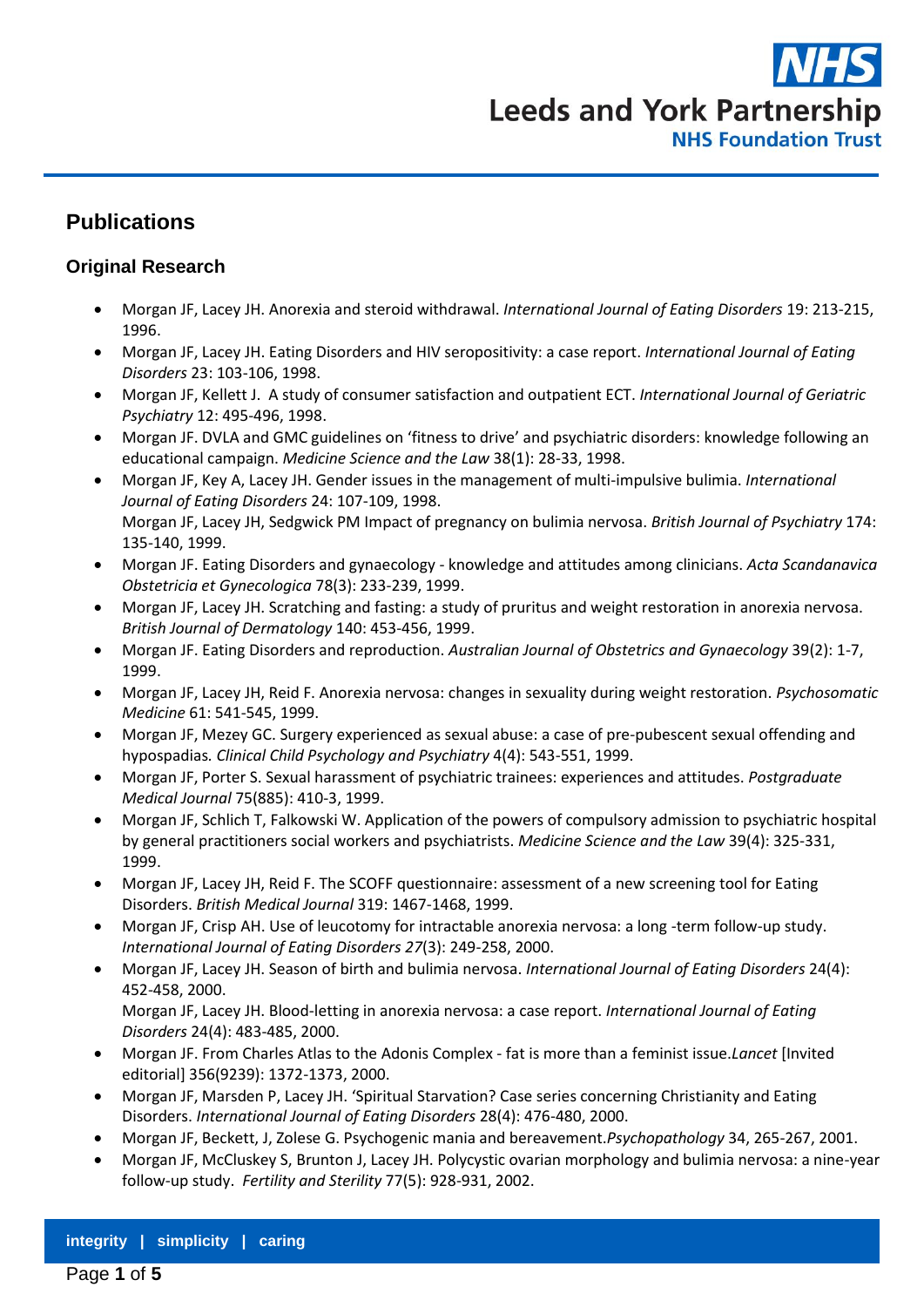

# **Publications**

#### **Original Research**

- Morgan JF, Lacey JH. Anorexia and steroid withdrawal. *International Journal of Eating Disorders* 19: 213-215, 1996.
- Morgan JF, Lacey JH. Eating Disorders and HIV seropositivity: a case report. *International Journal of Eating Disorders* 23: 103-106, 1998.
- Morgan JF, Kellett J. A study of consumer satisfaction and outpatient ECT. *International Journal of Geriatric Psychiatry* 12: 495-496, 1998.
- Morgan JF. DVLA and GMC guidelines on 'fitness to drive' and psychiatric disorders: knowledge following an educational campaign. *Medicine Science and the Law* 38(1): 28-33, 1998.
- Morgan JF, Key A, Lacey JH. Gender issues in the management of multi-impulsive bulimia. *International Journal of Eating Disorders* 24: 107-109, 1998. Morgan JF, Lacey JH, Sedgwick PM Impact of pregnancy on bulimia nervosa. *British Journal of Psychiatry* 174: 135-140, 1999.
- Morgan JF. Eating Disorders and gynaecology knowledge and attitudes among clinicians. *Acta Scandanavica Obstetricia et Gynecologica* 78(3): 233-239, 1999.
- Morgan JF, Lacey JH. Scratching and fasting: a study of pruritus and weight restoration in anorexia nervosa. *British Journal of Dermatology* 140: 453-456, 1999.
- Morgan JF. Eating Disorders and reproduction. *Australian Journal of Obstetrics and Gynaecology* 39(2): 1-7, 1999.
- Morgan JF, Lacey JH, Reid F. Anorexia nervosa: changes in sexuality during weight restoration. *Psychosomatic Medicine* 61: 541-545, 1999.
- Morgan JF, Mezey GC. Surgery experienced as sexual abuse: a case of pre-pubescent sexual offending and hypospadias*. Clinical Child Psychology and Psychiatry* 4(4): 543-551, 1999.
- Morgan JF, Porter S. Sexual harassment of psychiatric trainees: experiences and attitudes. *Postgraduate Medical Journal* 75(885): 410-3, 1999.
- Morgan JF, Schlich T, Falkowski W. Application of the powers of compulsory admission to psychiatric hospital by general practitioners social workers and psychiatrists. *Medicine Science and the Law* 39(4): 325-331, 1999.
- Morgan JF, Lacey JH, Reid F. The SCOFF questionnaire: assessment of a new screening tool for Eating Disorders. *British Medical Journal* 319: 1467-1468, 1999.
- Morgan JF, Crisp AH. Use of leucotomy for intractable anorexia nervosa: a long -term follow-up study. *International Journal of Eating Disorders 27*(3): 249-258, 2000.
- Morgan JF, Lacey JH. Season of birth and bulimia nervosa. *International Journal of Eating Disorders* 24(4): 452-458, 2000. Morgan JF, Lacey JH. Blood-letting in anorexia nervosa: a case report. *International Journal of Eating*
- *Disorders* 24(4): 483-485, 2000. Morgan JF. From Charles Atlas to the Adonis Complex - fat is more than a feminist issue.*Lancet* [Invited
- editorial] 356(9239): 1372-1373, 2000. Morgan JF, Marsden P, Lacey JH. 'Spiritual Starvation? Case series concerning Christianity and Eating Disorders. *International Journal of Eating Disorders* 28(4): 476-480, 2000.
- Morgan JF, Beckett, J, Zolese G. Psychogenic mania and bereavement.*Psychopathology* 34, 265-267, 2001.
- Morgan JF, McCluskey S, Brunton J, Lacey JH. Polycystic ovarian morphology and bulimia nervosa: a nine-year follow-up study. *Fertility and Sterility* 77(5): 928-931, 2002.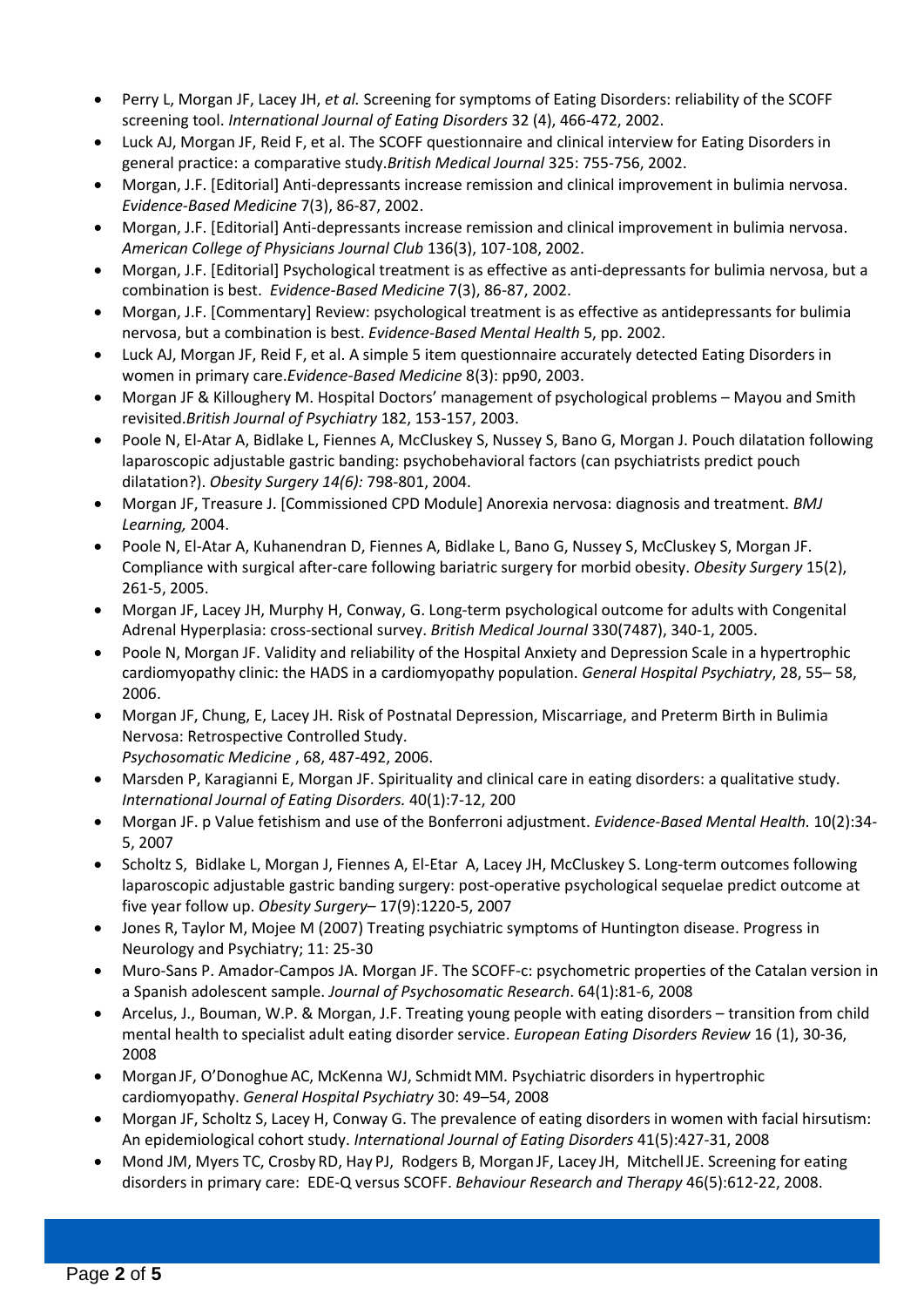- Perry L, Morgan JF, Lacey JH, *et al.* Screening for symptoms of Eating Disorders: reliability of the SCOFF screening tool. *International Journal of Eating Disorders* 32 (4), 466-472, 2002.
- Luck AJ, Morgan JF, Reid F, et al. The SCOFF questionnaire and clinical interview for Eating Disorders in general practice: a comparative study.*British Medical Journal* 325: 755-756, 2002.
- Morgan, J.F. [Editorial] Anti-depressants increase remission and clinical improvement in bulimia nervosa. *Evidence-Based Medicine* 7(3), 86-87, 2002.
- Morgan, J.F. [Editorial] Anti-depressants increase remission and clinical improvement in bulimia nervosa. *American College of Physicians Journal Club* 136(3), 107-108, 2002.
- Morgan, J.F. [Editorial] Psychological treatment is as effective as anti-depressants for bulimia nervosa, but a combination is best. *Evidence-Based Medicine* 7(3), 86-87, 2002.
- Morgan, J.F. [Commentary] Review: psychological treatment is as effective as antidepressants for bulimia nervosa, but a combination is best. *Evidence-Based Mental Health* 5, pp. 2002.
- Luck AJ, Morgan JF, Reid F, et al. A simple 5 item questionnaire accurately detected Eating Disorders in women in primary care.*Evidence-Based Medicine* 8(3): pp90, 2003.
- Morgan JF & Killoughery M. Hospital Doctors' management of psychological problems Mayou and Smith revisited.*British Journal of Psychiatry* 182, 153-157, 2003.
- Poole N, El-Atar A, Bidlake L, Fiennes A, McCluskey S, Nussey S, Bano G, Morgan J. Pouch dilatation following laparoscopic adjustable gastric banding: psychobehavioral factors (can psychiatrists predict pouch dilatation?). *Obesity Surgery 14(6):* 798-801, 2004.
- Morgan JF, Treasure J. [Commissioned CPD Module] Anorexia nervosa: diagnosis and treatment. *BMJ Learning,* 2004.
- Poole N, El-Atar A, Kuhanendran D, Fiennes A, Bidlake L, Bano G, Nussey S, McCluskey S, Morgan JF. Compliance with surgical after-care following bariatric surgery for morbid obesity. *Obesity Surgery* 15(2), 261-5, 2005.
- Morgan JF, Lacey JH, Murphy H, Conway, G. Long-term psychological outcome for adults with Congenital Adrenal Hyperplasia: cross-sectional survey. *British Medical Journal* 330(7487), 340-1, 2005.
- Poole N, Morgan JF. Validity and reliability of the Hospital Anxiety and Depression Scale in a hypertrophic cardiomyopathy clinic: the HADS in a cardiomyopathy population. *General Hospital Psychiatry*, 28, 55– 58, 2006.
- Morgan JF, Chung, E, Lacey JH. Risk of Postnatal Depression, Miscarriage, and Preterm Birth in Bulimia Nervosa: Retrospective Controlled Study.

*Psychosomatic Medicine* , 68, 487-492, 2006.

- Marsden P, Karagianni E, Morgan JF. Spirituality and clinical care in eating disorders: a qualitative study. *International Journal of Eating Disorders.* 40(1):7-12, 200
- Morgan JF. p Value fetishism and use of the Bonferroni adjustment. *Evidence-Based Mental Health.* 10(2):34- 5, 2007
- Scholtz S, Bidlake L, Morgan J, Fiennes A, El-Etar A, Lacey JH, McCluskey S. Long-term outcomes following laparoscopic adjustable gastric banding surgery: post-operative psychological sequelae predict outcome at five year follow up. *Obesity Surgery*– 17(9):1220-5, 2007
- Jones R, Taylor M, Mojee M (2007) Treating psychiatric symptoms of Huntington disease. Progress in Neurology and Psychiatry; 11: 25-30
- Muro-Sans P. Amador-Campos JA. Morgan JF. The SCOFF-c: psychometric properties of the Catalan version in a Spanish adolescent sample. *Journal of Psychosomatic Research*. 64(1):81-6, 2008
- Arcelus, J., Bouman, W.P. & Morgan, J.F. Treating young people with eating disorders transition from child mental health to specialist adult eating disorder service. *European Eating Disorders Review* 16 (1), 30-36, 2008
- Morgan JF, O'Donoghue AC, McKenna WJ, Schmidt MM. Psychiatric disorders in hypertrophic cardiomyopathy. *General Hospital Psychiatry* 30: 49–54, 2008
- Morgan JF, Scholtz S, Lacey H, Conway G. The prevalence of eating disorders in women with facial hirsutism: An epidemiological cohort study. *International Journal of Eating Disorders* 41(5):427-31, 2008
- Mond JM, Myers TC, Crosby RD, Hay PJ, Rodgers B, Morgan JF, Lacey JH, MitchellJE. Screening for eating disorders in primary care: EDE-Q versus SCOFF. *Behaviour Research and Therapy* 46(5):612-22, 2008.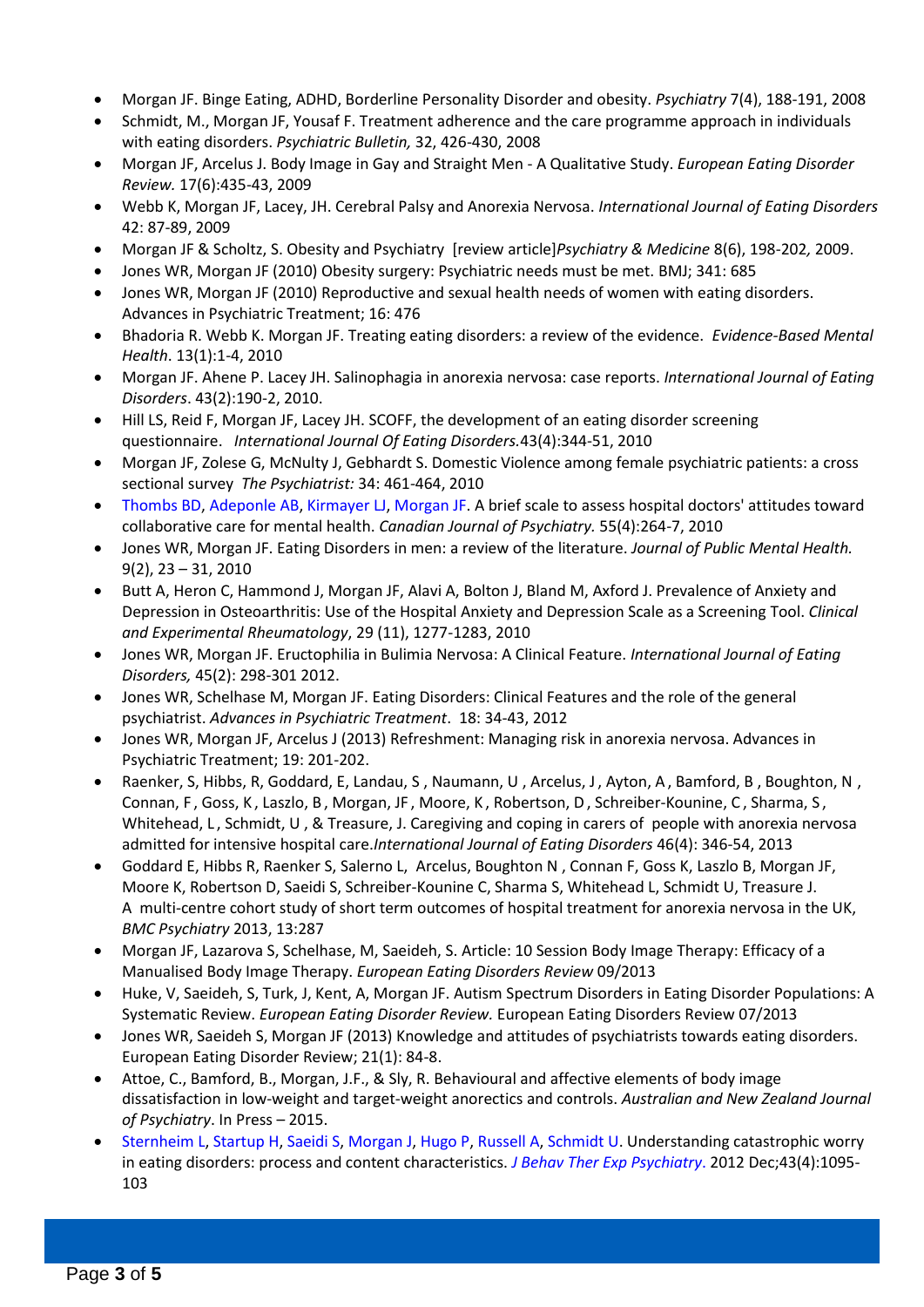- Morgan JF. Binge Eating, ADHD, Borderline Personality Disorder and obesity. *Psychiatry* 7(4), 188-191, 2008
- Schmidt, M., Morgan JF, Yousaf F. Treatment adherence and the care programme approach in individuals with eating disorders. *Psychiatric Bulletin,* 32, 426-430, 2008
- Morgan JF, Arcelus J. Body Image in Gay and Straight Men A Qualitative Study. *European Eating Disorder Review.* 17(6):435-43, 2009
- Webb K, Morgan JF, Lacey, JH. Cerebral Palsy and Anorexia Nervosa. *International Journal of Eating Disorders*  42: 87-89, 2009
- Morgan JF & Scholtz, S. Obesity and Psychiatry [review article]*Psychiatry & Medicine* 8(6), 198-202*,* 2009.
- Jones WR, Morgan JF (2010) Obesity surgery: Psychiatric needs must be met. BMJ; 341: 685
- Jones WR, Morgan JF (2010) Reproductive and sexual health needs of women with eating disorders. Advances in Psychiatric Treatment; 16: 476
- Bhadoria R. Webb K. Morgan JF. Treating eating disorders: a review of the evidence. *Evidence-Based Mental Health*. 13(1):1-4, 2010
- Morgan JF. Ahene P. Lacey JH. Salinophagia in anorexia nervosa: case reports. *International Journal of Eating Disorders*. 43(2):190-2, 2010.
- Hill LS, Reid F, Morgan JF, Lacey JH. SCOFF, the development of an eating disorder screening questionnaire. *International Journal Of Eating Disorders.*43(4):344-51, 2010
- Morgan JF, Zolese G, McNulty J, Gebhardt S. Domestic Violence among female psychiatric patients: a cross sectional survey *The Psychiatrist:* 34: 461-464, 2010
- [Thombs BD,](http://www.ncbi.nlm.nih.gov/pubmed?term=%22Thombs%20BD%22%5BAuthor%5D) [Adeponle AB,](http://www.ncbi.nlm.nih.gov/pubmed?term=%22Adeponle%20AB%22%5BAuthor%5D) [Kirmayer LJ,](http://www.ncbi.nlm.nih.gov/pubmed?term=%22Kirmayer%20LJ%22%5BAuthor%5D) [Morgan JF.](http://www.ncbi.nlm.nih.gov/pubmed?term=%22Morgan%20JF%22%5BAuthor%5D) A brief scale to assess hospital doctors' attitudes toward collaborative care for mental health. *Canadian Journal of Psychiatry.* 55(4):264-7, 2010
- Jones WR, Morgan JF. Eating Disorders in men: a review of the literature. *Journal of Public Mental Health.*  9(2), 23 – 31, 2010
- Butt A, Heron C, Hammond J, Morgan JF, Alavi A, Bolton J, Bland M, Axford J. Prevalence of Anxiety and Depression in Osteoarthritis: Use of the Hospital Anxiety and Depression Scale as a Screening Tool. *Clinical and Experimental Rheumatology*, 29 (11), 1277-1283, 2010
- Jones WR, Morgan JF. Eructophilia in Bulimia Nervosa: A Clinical Feature. *International Journal of Eating Disorders,* 45(2): 298-301 2012.
- Jones WR, Schelhase M, Morgan JF. Eating Disorders: Clinical Features and the role of the general psychiatrist. *Advances in Psychiatric Treatment*. 18: 34-43, 2012
- Jones WR, Morgan JF, Arcelus J (2013) Refreshment: Managing risk in anorexia nervosa. Advances in Psychiatric Treatment; 19: 201-202.
- Raenker, S, Hibbs, R, Goddard, E, Landau, S, Naumann, U, Arcelus, J, Ayton, A, Bamford, B, Boughton, N, Connan, F , Goss, K , Laszlo, B , Morgan, JF , Moore, K , Robertson, D, Schreiber-Kounine, C , Sharma, S , Whitehead, L, Schmidt, U, & Treasure, J. Caregiving and coping in carers of people with anorexia nervosa admitted for intensive hospital care.*International Journal of Eating Disorders* 46(4): 346-54, 2013
- Goddard E, Hibbs R, Raenker S, Salerno L, Arcelus, Boughton N , Connan F, Goss K, Laszlo B, Morgan JF, Moore K, Robertson D, Saeidi S, Schreiber-Kounine C, Sharma S, Whitehead L, Schmidt U, Treasure J. A multi-centre cohort study of short term outcomes of hospital treatment for anorexia nervosa in the UK, *BMC Psychiatry* 2013, 13:287
- Morgan JF, Lazarova S, Schelhase, M, Saeideh, S. Article: 10 Session Body Image Therapy: Efficacy of a Manualised Body Image Therapy. *European Eating Disorders Review* 09/2013
- Huke, V, Saeideh, S, Turk, J, Kent, A, Morgan JF. Autism Spectrum Disorders in Eating Disorder Populations: A Systematic Review. *European Eating Disorder Review.* European Eating Disorders Review 07/2013
- Jones WR, Saeideh S, Morgan JF (2013) Knowledge and attitudes of psychiatrists towards eating disorders. European Eating Disorder Review; 21(1): 84-8.
- Attoe, C., Bamford, B., Morgan, J.F., & Sly, R. Behavioural and affective elements of body image dissatisfaction in low-weight and target-weight anorectics and controls. *Australian and New Zealand Journal of Psychiatry*. In Press – 2015.
- [Sternheim L,](http://www.ncbi.nlm.nih.gov/pubmed?term=Sternheim%20L%5BAuthor%5D&cauthor=true&cauthor_uid=22721602) [Startup H,](http://www.ncbi.nlm.nih.gov/pubmed?term=Startup%20H%5BAuthor%5D&cauthor=true&cauthor_uid=22721602) [Saeidi S,](http://www.ncbi.nlm.nih.gov/pubmed?term=Saeidi%20S%5BAuthor%5D&cauthor=true&cauthor_uid=22721602) [Morgan J,](http://www.ncbi.nlm.nih.gov/pubmed?term=Morgan%20J%5BAuthor%5D&cauthor=true&cauthor_uid=22721602) [Hugo P,](http://www.ncbi.nlm.nih.gov/pubmed?term=Hugo%20P%5BAuthor%5D&cauthor=true&cauthor_uid=22721602) [Russell A,](http://www.ncbi.nlm.nih.gov/pubmed?term=Russell%20A%5BAuthor%5D&cauthor=true&cauthor_uid=22721602) [Schmidt U.](http://www.ncbi.nlm.nih.gov/pubmed?term=Schmidt%20U%5BAuthor%5D&cauthor=true&cauthor_uid=22721602) Understanding catastrophic worry in eating disorders: process and content characteristics. *[J Behav Ther Exp Psychiatry](http://www.ncbi.nlm.nih.gov/pubmed/22721602)*. 2012 Dec;43(4):1095- 103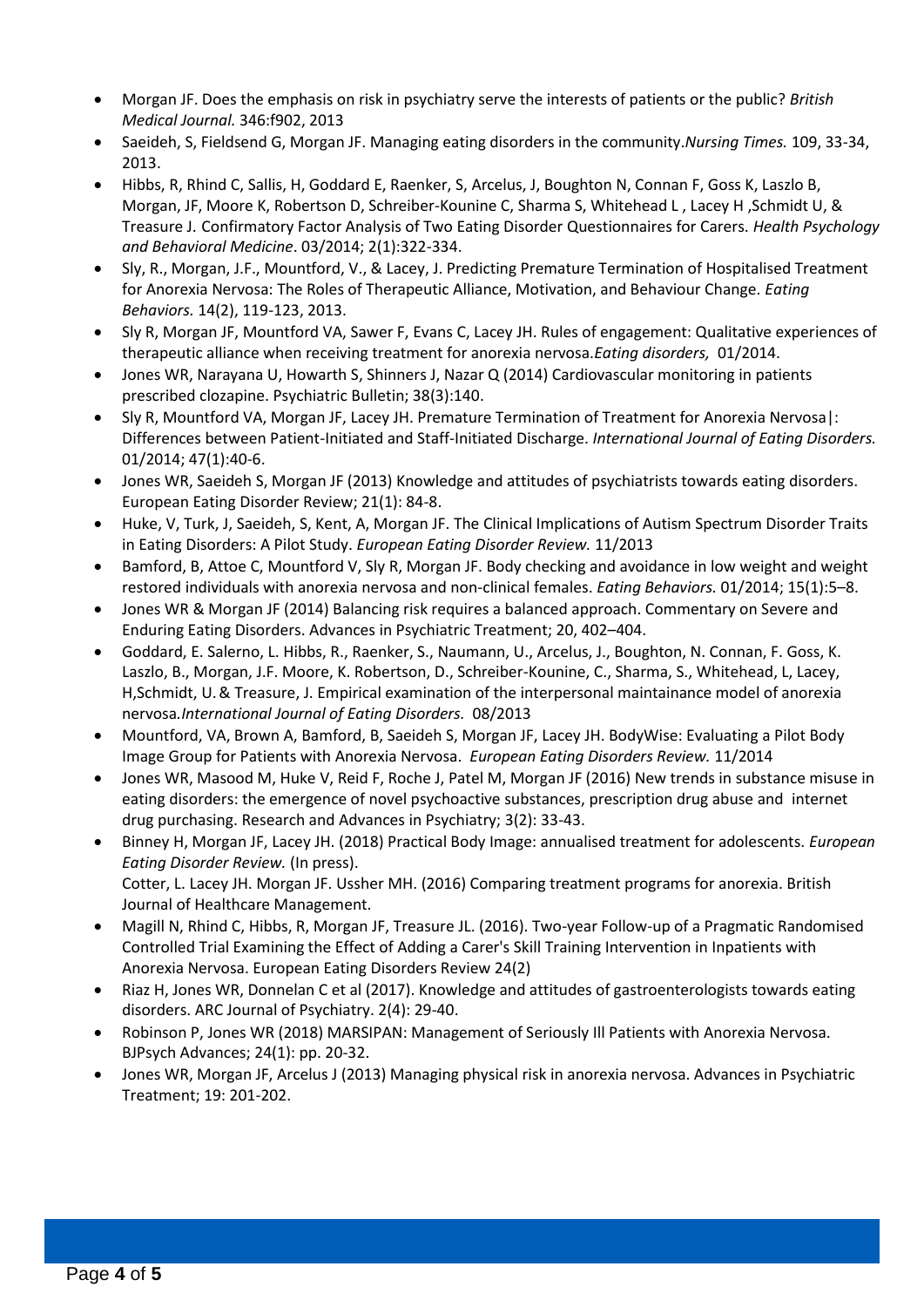- Morgan JF. Does the emphasis on risk in psychiatry serve the interests of patients or the public? *British Medical Journal.* 346:f902, 2013
- Saeideh, S, Fieldsend G, Morgan JF. Managing eating disorders in the community.*Nursing Times.* 109, 33-34, 2013.
- Hibbs, R, Rhind C, Sallis, H, Goddard E, Raenker, S, Arcelus, J, Boughton N, Connan F, Goss K, Laszlo B, Morgan, JF, Moore K, Robertson D, Schreiber-Kounine C, Sharma S, Whitehead L , Lacey H ,Schmidt U, & Treasure J. Confirmatory Factor Analysis of Two Eating Disorder Questionnaires for Carers. *Health Psychology and Behavioral Medicine*. 03/2014; 2(1):322-334.
- Sly, R., Morgan, J.F., Mountford, V., & Lacey, J. Predicting Premature Termination of Hospitalised Treatment for Anorexia Nervosa: The Roles of Therapeutic Alliance, Motivation, and Behaviour Change. *Eating Behaviors.* 14(2), 119-123, 2013.
- Sly R, Morgan JF, Mountford VA, Sawer F, Evans C, Lacey JH. Rules of engagement: Qualitative experiences of therapeutic alliance when receiving treatment for anorexia nervosa.*Eating disorders,* 01/2014.
- Jones WR, Narayana U, Howarth S, Shinners J, Nazar Q (2014) Cardiovascular monitoring in patients prescribed clozapine. Psychiatric Bulletin; 38(3):140.
- Sly R, Mountford VA, Morgan JF, Lacey JH. Premature Termination of Treatment for Anorexia Nervosa|: Differences between Patient-Initiated and Staff-Initiated Discharge. *International Journal of Eating Disorders.*  01/2014; 47(1):40-6.
- Jones WR, Saeideh S, Morgan JF (2013) Knowledge and attitudes of psychiatrists towards eating disorders. European Eating Disorder Review; 21(1): 84-8.
- Huke, V, Turk, J, Saeideh, S, Kent, A, Morgan JF. The Clinical Implications of Autism Spectrum Disorder Traits in Eating Disorders: A Pilot Study. *European Eating Disorder Review.* 11/2013
- Bamford, B, Attoe C, Mountford V, Sly R, Morgan JF. Body checking and avoidance in low weight and weight restored individuals with anorexia nervosa and non-clinical females. *Eating Behaviors.* 01/2014; 15(1):5–8.
- Jones WR & Morgan JF (2014) Balancing risk requires a balanced approach. Commentary on Severe and Enduring Eating Disorders. Advances in Psychiatric Treatment; 20, 402–404.
- Goddard, E. Salerno, L. Hibbs, R., Raenker, S., Naumann, U., Arcelus, J., Boughton, N. Connan, F. Goss, K. Laszlo, B., Morgan, J.F. Moore, K. Robertson, D., Schreiber-Kounine, C., Sharma, S., Whitehead, L, Lacey, H,Schmidt, U.& Treasure, J. Empirical examination of the interpersonal maintainance model of anorexia nervosa*.International Journal of Eating Disorders.* 08/2013
- Mountford, VA, Brown A, Bamford, B, Saeideh S, Morgan JF, Lacey JH. BodyWise: Evaluating a Pilot Body Image Group for Patients with Anorexia Nervosa. *European Eating Disorders Review.* 11/2014
- Jones WR, Masood M, Huke V, Reid F, Roche J, Patel M, Morgan JF (2016) New trends in substance misuse in eating disorders: the emergence of novel psychoactive substances, prescription drug abuse and internet drug purchasing. Research and Advances in Psychiatry; 3(2): 33-43.
- Binney H, Morgan JF, Lacey JH. (2018) Practical Body Image: annualised treatment for adolescents. *European Eating Disorder Review.* (In press). Cotter, L. Lacey JH. Morgan JF. Ussher MH. (2016) Comparing treatment programs for anorexia. British Journal of Healthcare Management.
- Magill N, Rhind C, Hibbs, R, Morgan JF, Treasure JL. (2016). Two-year Follow-up of a Pragmatic Randomised Controlled Trial Examining the Effect of Adding a Carer's Skill Training Intervention in Inpatients with Anorexia Nervosa. European Eating Disorders Review 24(2)
- Riaz H, Jones WR, Donnelan C et al (2017). Knowledge and attitudes of gastroenterologists towards eating disorders. ARC Journal of Psychiatry. 2(4): 29-40.
- Robinson P, Jones WR (2018) MARSIPAN: Management of Seriously Ill Patients with Anorexia Nervosa. BJPsych Advances; 24(1): pp. 20-32.
- Jones WR, Morgan JF, Arcelus J (2013) Managing physical risk in anorexia nervosa. Advances in Psychiatric Treatment; 19: 201-202.